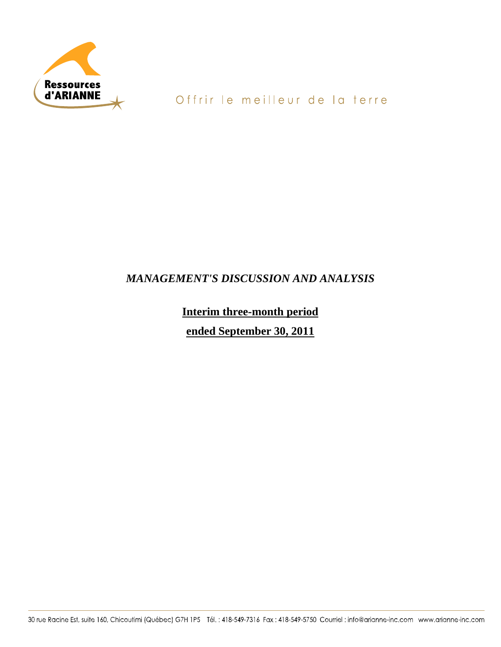

# *MANAGEMENT'S DISCUSSION AND ANALYSIS*

**Interim three-month period ended September 30, 2011**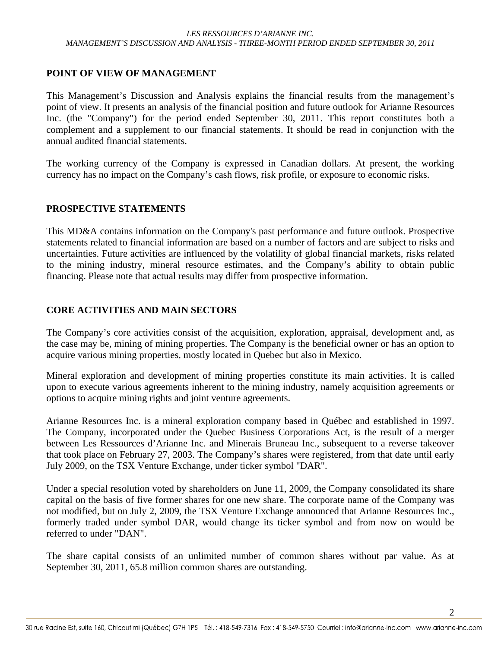#### **POINT OF VIEW OF MANAGEMENT**

This Management's Discussion and Analysis explains the financial results from the management's point of view. It presents an analysis of the financial position and future outlook for Arianne Resources Inc. (the "Company") for the period ended September 30, 2011. This report constitutes both a complement and a supplement to our financial statements. It should be read in conjunction with the annual audited financial statements.

The working currency of the Company is expressed in Canadian dollars. At present, the working currency has no impact on the Company's cash flows, risk profile, or exposure to economic risks.

### **PROSPECTIVE STATEMENTS**

This MD&A contains information on the Company's past performance and future outlook. Prospective statements related to financial information are based on a number of factors and are subject to risks and uncertainties. Future activities are influenced by the volatility of global financial markets, risks related to the mining industry, mineral resource estimates, and the Company's ability to obtain public financing. Please note that actual results may differ from prospective information.

# **CORE ACTIVITIES AND MAIN SECTORS**

The Company's core activities consist of the acquisition, exploration, appraisal, development and, as the case may be, mining of mining properties. The Company is the beneficial owner or has an option to acquire various mining properties, mostly located in Quebec but also in Mexico.

Mineral exploration and development of mining properties constitute its main activities. It is called upon to execute various agreements inherent to the mining industry, namely acquisition agreements or options to acquire mining rights and joint venture agreements.

Arianne Resources Inc. is a mineral exploration company based in Québec and established in 1997. The Company, incorporated under the Quebec Business Corporations Act, is the result of a merger between Les Ressources d'Arianne Inc. and Minerais Bruneau Inc., subsequent to a reverse takeover that took place on February 27, 2003. The Company's shares were registered, from that date until early July 2009, on the TSX Venture Exchange, under ticker symbol "DAR".

Under a special resolution voted by shareholders on June 11, 2009, the Company consolidated its share capital on the basis of five former shares for one new share. The corporate name of the Company was not modified, but on July 2, 2009, the TSX Venture Exchange announced that Arianne Resources Inc., formerly traded under symbol DAR, would change its ticker symbol and from now on would be referred to under "DAN".

The share capital consists of an unlimited number of common shares without par value. As at September 30, 2011, 65.8 million common shares are outstanding.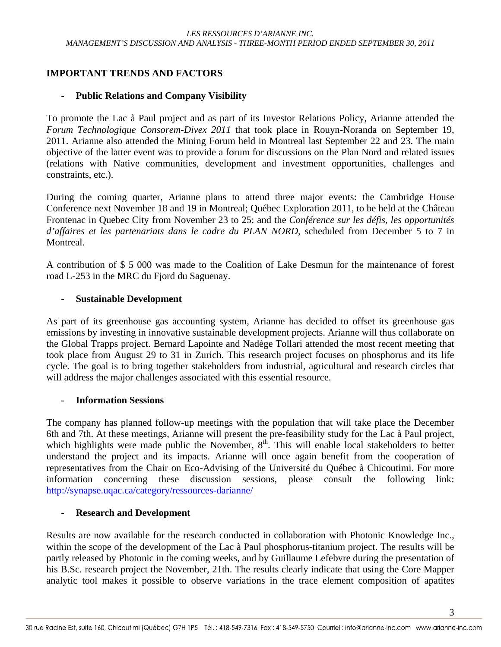# **IMPORTANT TRENDS AND FACTORS**

#### - **Public Relations and Company Visibility**

To promote the Lac à Paul project and as part of its Investor Relations Policy, Arianne attended the *Forum Technologique Consorem-Divex 2011* that took place in Rouyn-Noranda on September 19, 2011. Arianne also attended the Mining Forum held in Montreal last September 22 and 23. The main objective of the latter event was to provide a forum for discussions on the Plan Nord and related issues (relations with Native communities, development and investment opportunities, challenges and constraints, etc.).

During the coming quarter, Arianne plans to attend three major events: the Cambridge House Conference next November 18 and 19 in Montreal; Québec Exploration 2011, to be held at the Château Frontenac in Quebec City from November 23 to 25; and the *Conférence sur les défis, les opportunités d'affaires et les partenariats dans le cadre du PLAN NORD*, scheduled from December 5 to 7 in Montreal.

A contribution of \$ 5 000 was made to the Coalition of Lake Desmun for the maintenance of forest road L-253 in the MRC du Fjord du Saguenay.

#### - **Sustainable Development**

As part of its greenhouse gas accounting system, Arianne has decided to offset its greenhouse gas emissions by investing in innovative sustainable development projects. Arianne will thus collaborate on the Global Trapps project. Bernard Lapointe and Nadège Tollari attended the most recent meeting that took place from August 29 to 31 in Zurich. This research project focuses on phosphorus and its life cycle. The goal is to bring together stakeholders from industrial, agricultural and research circles that will address the major challenges associated with this essential resource.

#### - **Information Sessions**

The company has planned follow-up meetings with the population that will take place the December 6th and 7th. At these meetings, Arianne will present the pre-feasibility study for the Lac à Paul project, which highlights were made public the November,  $8<sup>th</sup>$ . This will enable local stakeholders to better understand the project and its impacts. Arianne will once again benefit from the cooperation of representatives from the Chair on Eco-Advising of the Université du Québec à Chicoutimi. For more information concerning these discussion sessions, please consult the following link: http://synapse.uqac.ca/category/ressources-darianne/

#### - **Research and Development**

Results are now available for the research conducted in collaboration with Photonic Knowledge Inc., within the scope of the development of the Lac à Paul phosphorus-titanium project. The results will be partly released by Photonic in the coming weeks, and by Guillaume Lefebvre during the presentation of his B.Sc. research project the November, 21th. The results clearly indicate that using the Core Mapper analytic tool makes it possible to observe variations in the trace element composition of apatites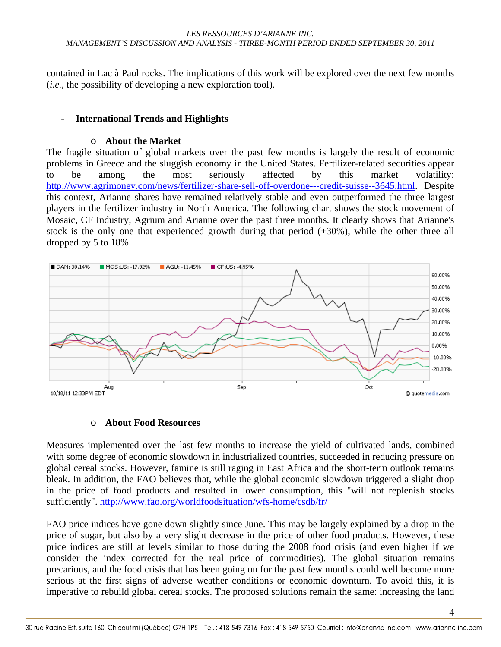contained in Lac à Paul rocks. The implications of this work will be explored over the next few months (*i.e.*, the possibility of developing a new exploration tool).

#### - **International Trends and Highlights**

#### o **About the Market**

The fragile situation of global markets over the past few months is largely the result of economic problems in Greece and the sluggish economy in the United States. Fertilizer-related securities appear to be among the most seriously affected by this market volatility: http://www.agrimoney.com/news/fertilizer-share-sell-off-overdone---credit-suisse--3645.html. Despite this context, Arianne shares have remained relatively stable and even outperformed the three largest players in the fertilizer industry in North America. The following chart shows the stock movement of Mosaic, CF Industry, Agrium and Arianne over the past three months. It clearly shows that Arianne's stock is the only one that experienced growth during that period (+30%), while the other three all dropped by 5 to 18%.



#### o **About Food Resources**

Measures implemented over the last few months to increase the yield of cultivated lands, combined with some degree of economic slowdown in industrialized countries, succeeded in reducing pressure on global cereal stocks. However, famine is still raging in East Africa and the short-term outlook remains bleak. In addition, the FAO believes that, while the global economic slowdown triggered a slight drop in the price of food products and resulted in lower consumption, this "will not replenish stocks sufficiently". http://www.fao.org/worldfoodsituation/wfs-home/csdb/fr/

FAO price indices have gone down slightly since June. This may be largely explained by a drop in the price of sugar, but also by a very slight decrease in the price of other food products. However, these price indices are still at levels similar to those during the 2008 food crisis (and even higher if we consider the index corrected for the real price of commodities). The global situation remains precarious, and the food crisis that has been going on for the past few months could well become more serious at the first signs of adverse weather conditions or economic downturn. To avoid this, it is imperative to rebuild global cereal stocks. The proposed solutions remain the same: increasing the land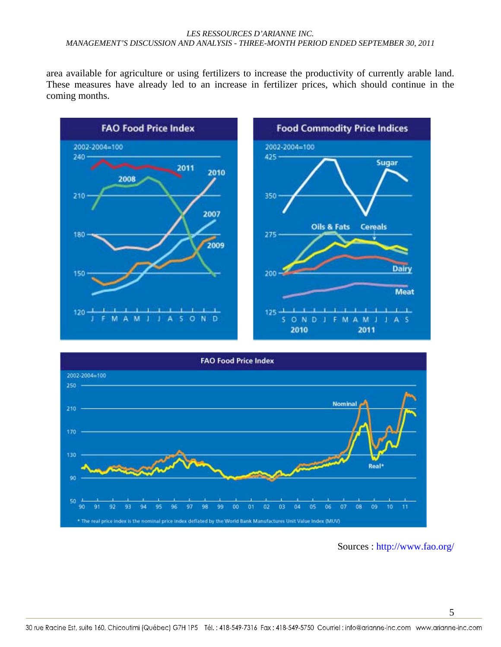area available for agriculture or using fertilizers to increase the productivity of currently arable land. These measures have already led to an increase in fertilizer prices, which should continue in the coming months.





Sources : http://www.fao.org/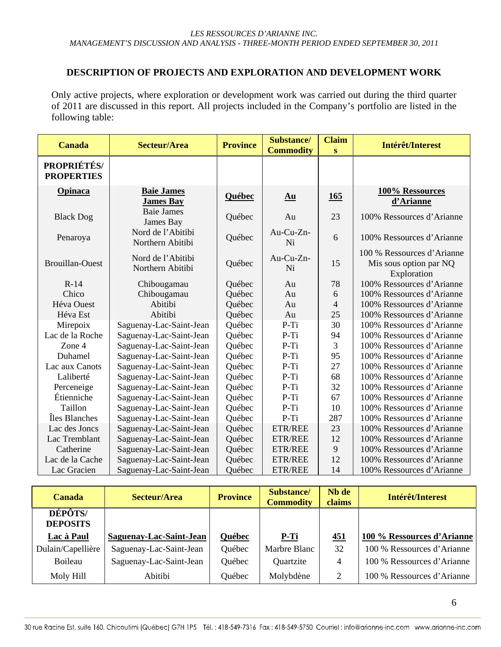# **DESCRIPTION OF PROJECTS AND EXPLORATION AND DEVELOPMENT WORK**

Only active projects, where exploration or development work was carried out during the third quarter of 2011 are discussed in this report. All projects included in the Company's portfolio are listed in the following table:

| <b>Canada</b>                           | <b>Secteur/Area</b>                   | <b>Province</b> | Substance/<br><b>Commodity</b> | <b>Claim</b><br>S | Intérêt/Interest                                                    |
|-----------------------------------------|---------------------------------------|-----------------|--------------------------------|-------------------|---------------------------------------------------------------------|
| <b>PROPRIÉTÉS/</b><br><b>PROPERTIES</b> |                                       |                 |                                |                   |                                                                     |
| <b>Opinaca</b>                          | <b>Baie James</b><br><b>James Bay</b> | Québec          | Au                             | 165               | 100% Ressources<br>d'Arianne                                        |
| <b>Black Dog</b>                        | <b>Baie James</b><br>James Bay        | Québec          | Au                             | 23                | 100% Ressources d'Arianne                                           |
| Penaroya                                | Nord de l'Abitibi<br>Northern Abitibi | Québec          | Au-Cu-Zn-<br>Ni                | 6                 | 100% Ressources d'Arianne                                           |
| <b>Brouillan-Ouest</b>                  | Nord de l'Abitibi<br>Northern Abitibi | Québec          | $Au$ -Cu-Zn-<br>Ni             | 15                | 100 % Ressources d'Arianne<br>Mis sous option par NQ<br>Exploration |
| $R-14$                                  | Chibougamau                           | Québec          | Au                             | 78                | 100% Ressources d'Arianne                                           |
| Chico                                   | Chibougamau                           | Québec          | Au                             | 6                 | 100% Ressources d'Arianne                                           |
| Héva Ouest                              | Abitibi                               | Québec          | Au                             | $\overline{4}$    | 100% Ressources d'Arianne                                           |
| Héva Est                                | Abitibi                               | Québec          | Au                             | 25                | 100% Ressources d'Arianne                                           |
| Mirepoix                                | Saguenay-Lac-Saint-Jean               | Québec          | $P-Ti$                         | 30                | 100% Ressources d'Arianne                                           |
| Lac de la Roche                         | Saguenay-Lac-Saint-Jean               | Québec          | P-Ti                           | 94                | 100% Ressources d'Arianne                                           |
| Zone 4                                  | Saguenay-Lac-Saint-Jean               | Québec          | $P-Ti$                         | 3                 | 100% Ressources d'Arianne                                           |
| Duhamel                                 | Saguenay-Lac-Saint-Jean               | Québec          | $P-Ti$                         | 95                | 100% Ressources d'Arianne                                           |
| Lac aux Canots                          | Saguenay-Lac-Saint-Jean               | Québec          | $P-Ti$                         | 27                | 100% Ressources d'Arianne                                           |
| Laliberté                               | Saguenay-Lac-Saint-Jean               | Québec          | P-Ti                           | 68                | 100% Ressources d'Arianne                                           |
| Perceneige                              | Saguenay-Lac-Saint-Jean               | Québec          | P-Ti                           | 32                | 100% Ressources d'Arianne                                           |
| Étienniche                              | Saguenay-Lac-Saint-Jean               | Québec          | $P-Ti$                         | 67                | 100% Ressources d'Arianne                                           |
| Taillon                                 | Saguenay-Lac-Saint-Jean               | Québec          | P-Ti                           | 10                | 100% Ressources d'Arianne                                           |
| Îles Blanches                           | Saguenay-Lac-Saint-Jean               | Québec          | $P-Ti$                         | 287               | 100% Ressources d'Arianne                                           |
| Lac des Jones                           | Saguenay-Lac-Saint-Jean               | Québec          | ETR/REE                        | 23                | 100% Ressources d'Arianne                                           |
| Lac Tremblant                           | Saguenay-Lac-Saint-Jean               | Québec          | <b>ETR/REE</b>                 | 12                | 100% Ressources d'Arianne                                           |
| Catherine                               | Saguenay-Lac-Saint-Jean               | Québec          | <b>ETR/REE</b>                 | 9                 | 100% Ressources d'Arianne                                           |
| Lac de la Cache                         | Saguenay-Lac-Saint-Jean               | Québec          | <b>ETR/REE</b>                 | 12                | 100% Ressources d'Arianne                                           |
| Lac Gracien                             | Saguenay-Lac-Saint-Jean               | Québec          | <b>ETR/REE</b>                 | 14                | 100% Ressources d'Arianne                                           |

| Canada                            | Secteur/Area            | <b>Province</b> | Substance/<br><b>Commodity</b> | Nb de<br>claims | Intérêt/Interest           |
|-----------------------------------|-------------------------|-----------------|--------------------------------|-----------------|----------------------------|
| <b>DÉPÔTS/</b><br><b>DEPOSITS</b> |                         |                 |                                |                 |                            |
| Lac à Paul                        | Saguenay-Lac-Saint-Jean | Québec          | P-Ti                           | <u>451</u>      | 100 % Ressources d'Arianne |
| Dulain/Capellière                 | Saguenay-Lac-Saint-Jean | Québec          | Marbre Blanc                   | 32              | 100 % Ressources d'Arianne |
| Boileau                           | Saguenay-Lac-Saint-Jean | Québec          | Quartzite                      | 4               | 100 % Ressources d'Arianne |
| Moly Hill                         | Abitibi                 | Québec          | Molybdène                      | 2               | 100 % Ressources d'Arianne |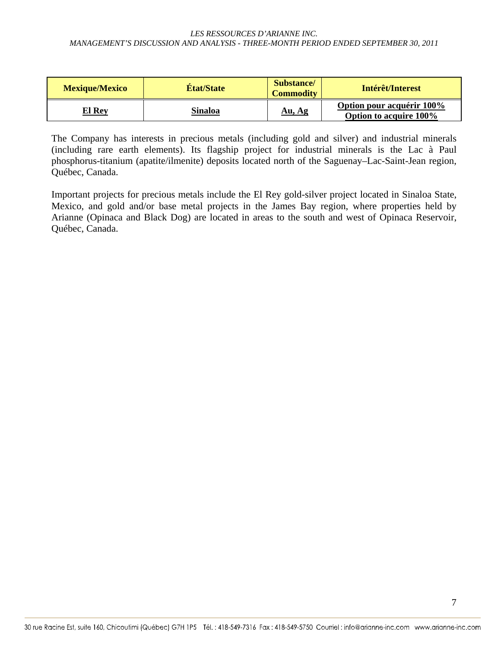| <b>Mexique/Mexico</b> | <b>Etat/State</b> | <b>Substance</b><br><b>Commodity</b> | Intérêt/Interest                                    |
|-----------------------|-------------------|--------------------------------------|-----------------------------------------------------|
| El Rev                | Sinaloa           | Au, Ag                               | Option pour acquérir 100%<br>Option to acquire 100% |

The Company has interests in precious metals (including gold and silver) and industrial minerals (including rare earth elements). Its flagship project for industrial minerals is the Lac à Paul phosphorus-titanium (apatite/ilmenite) deposits located north of the Saguenay–Lac-Saint-Jean region, Québec, Canada.

Important projects for precious metals include the El Rey gold-silver project located in Sinaloa State, Mexico, and gold and/or base metal projects in the James Bay region, where properties held by Arianne (Opinaca and Black Dog) are located in areas to the south and west of Opinaca Reservoir, Québec, Canada.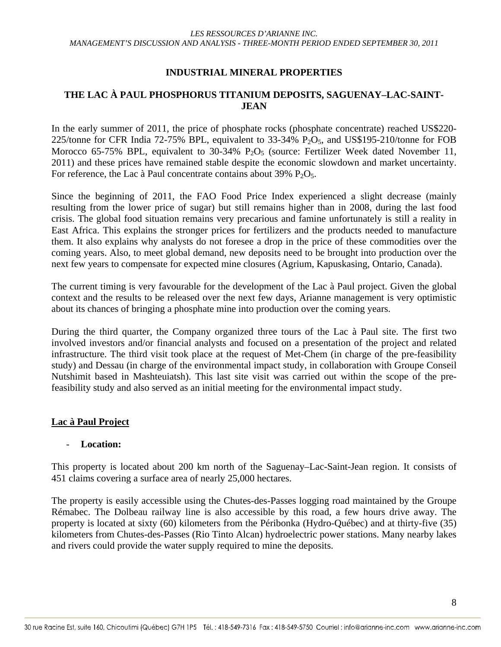### **INDUSTRIAL MINERAL PROPERTIES**

# **THE LAC À PAUL PHOSPHORUS TITANIUM DEPOSITS, SAGUENAY–LAC-SAINT-JEAN**

In the early summer of 2011, the price of phosphate rocks (phosphate concentrate) reached US\$220- 225/tonne for CFR India 72-75% BPL, equivalent to  $33-34\%$  P<sub>2</sub>O<sub>5</sub>, and US\$195-210/tonne for FOB Morocco 65-75% BPL, equivalent to 30-34%  $P_2O_5$  (source: Fertilizer Week dated November 11, 2011) and these prices have remained stable despite the economic slowdown and market uncertainty. For reference, the Lac à Paul concentrate contains about  $39\%$  P<sub>2</sub>O<sub>5</sub>.

Since the beginning of 2011, the FAO Food Price Index experienced a slight decrease (mainly resulting from the lower price of sugar) but still remains higher than in 2008, during the last food crisis. The global food situation remains very precarious and famine unfortunately is still a reality in East Africa. This explains the stronger prices for fertilizers and the products needed to manufacture them. It also explains why analysts do not foresee a drop in the price of these commodities over the coming years. Also, to meet global demand, new deposits need to be brought into production over the next few years to compensate for expected mine closures (Agrium, Kapuskasing, Ontario, Canada).

The current timing is very favourable for the development of the Lac à Paul project. Given the global context and the results to be released over the next few days, Arianne management is very optimistic about its chances of bringing a phosphate mine into production over the coming years.

During the third quarter, the Company organized three tours of the Lac à Paul site. The first two involved investors and/or financial analysts and focused on a presentation of the project and related infrastructure. The third visit took place at the request of Met-Chem (in charge of the pre-feasibility study) and Dessau (in charge of the environmental impact study, in collaboration with Groupe Conseil Nutshimit based in Mashteuiatsh). This last site visit was carried out within the scope of the prefeasibility study and also served as an initial meeting for the environmental impact study.

#### **Lac à Paul Project**

#### - **Location:**

This property is located about 200 km north of the Saguenay–Lac-Saint-Jean region. It consists of 451 claims covering a surface area of nearly 25,000 hectares.

The property is easily accessible using the Chutes-des-Passes logging road maintained by the Groupe Rémabec. The Dolbeau railway line is also accessible by this road, a few hours drive away. The property is located at sixty (60) kilometers from the Péribonka (Hydro-Québec) and at thirty-five (35) kilometers from Chutes-des-Passes (Rio Tinto Alcan) hydroelectric power stations. Many nearby lakes and rivers could provide the water supply required to mine the deposits.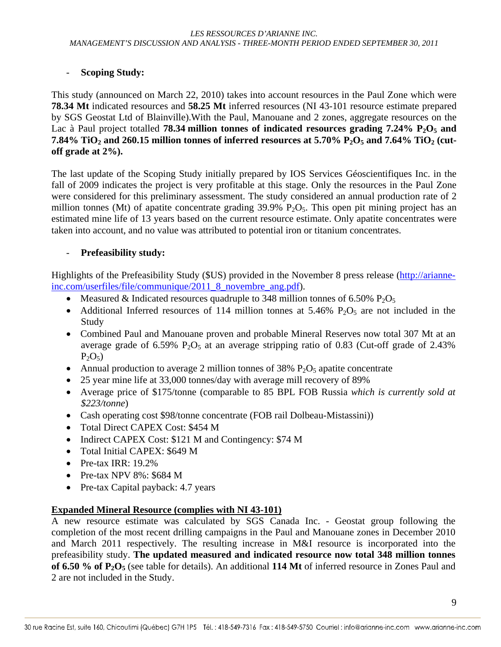# - **Scoping Study:**

This study (announced on March 22, 2010) takes into account resources in the Paul Zone which were **78.34 Mt** indicated resources and **58.25 Mt** inferred resources (NI 43-101 resource estimate prepared by SGS Geostat Ltd of Blainville).With the Paul, Manouane and 2 zones, aggregate resources on the Lac à Paul project totalled **78.34 million tonnes of indicated resources grading 7.24% P<sub>2</sub>O<sub>5</sub> and 7.84% TiO<sub>2</sub> and 260.15 million tonnes of inferred resources at 5.70% P<sub>2</sub>O<sub>5</sub> and 7.64% TiO<sub>2</sub> (cutoff grade at 2%).** 

The last update of the Scoping Study initially prepared by IOS Services Géoscientifiques Inc. in the fall of 2009 indicates the project is very profitable at this stage. Only the resources in the Paul Zone were considered for this preliminary assessment. The study considered an annual production rate of 2 million tonnes (Mt) of apatite concentrate grading  $39.9\%$  P<sub>2</sub>O<sub>5</sub>. This open pit mining project has an estimated mine life of 13 years based on the current resource estimate. Only apatite concentrates were taken into account, and no value was attributed to potential iron or titanium concentrates.

# - **Prefeasibility study:**

Highlights of the Prefeasibility Study (\$US) provided in the November 8 press release (http://arianneinc.com/userfiles/file/communique/2011\_8\_novembre\_ang.pdf).

- Measured & Indicated resources quadruple to 348 million tonnes of 6.50%  $P_2O_5$
- Additional Inferred resources of 114 million tonnes at 5.46%  $P_2O_5$  are not included in the Study
- Combined Paul and Manouane proven and probable Mineral Reserves now total 307 Mt at an average grade of 6.59%  $P_2O_5$  at an average stripping ratio of 0.83 (Cut-off grade of 2.43%)  $P_2O_5$
- Annual production to average 2 million tonnes of 38%  $P_2O_5$  apatite concentrate
- 25 year mine life at 33,000 tonnes/day with average mill recovery of 89%
- Average price of \$175/tonne (comparable to 85 BPL FOB Russia *which is currently sold at \$223/tonne*)
- Cash operating cost \$98/tonne concentrate (FOB rail Dolbeau-Mistassini))
- Total Direct CAPEX Cost: \$454 M
- Indirect CAPEX Cost: \$121 M and Contingency: \$74 M
- Total Initial CAPEX: \$649 M
- Pre-tax IRR: 19.2%
- Pre-tax NPV 8%: \$684 M
- Pre-tax Capital payback: 4.7 years

# **Expanded Mineral Resource (complies with NI 43-101)**

A new resource estimate was calculated by SGS Canada Inc. - Geostat group following the completion of the most recent drilling campaigns in the Paul and Manouane zones in December 2010 and March 2011 respectively. The resulting increase in M&I resource is incorporated into the prefeasibility study. **The updated measured and indicated resource now total 348 million tonnes of 6.50 % of P2O5** (see table for details). An additional **114 Mt** of inferred resource in Zones Paul and 2 are not included in the Study.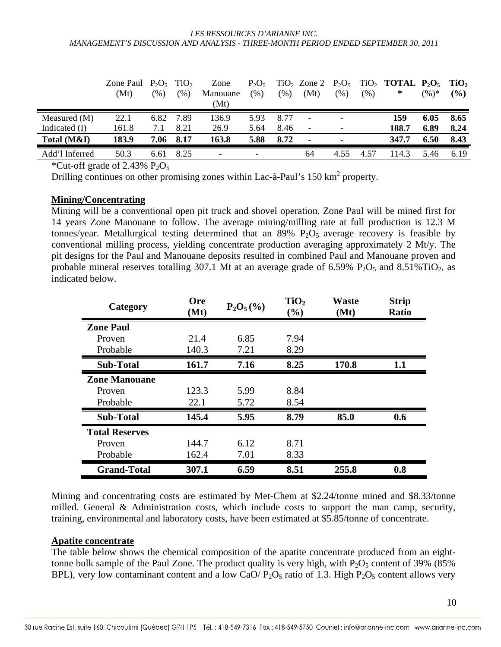|                 | Zone Paul $P_2O_5$ TiO <sub>2</sub> |               |      | Zone     | $P_2O_5$ |      | $TiO2$ Zone 2 $P2O5$     |                          |      | $TiO2$ TOTAL $P2O5$ TiO <sub>2</sub> |          |        |
|-----------------|-------------------------------------|---------------|------|----------|----------|------|--------------------------|--------------------------|------|--------------------------------------|----------|--------|
|                 | (Mt)                                | $\frac{9}{6}$ | (%)  | Manouane | $(\%)$   | (% ) | (Mt)                     | (% )                     | (% ) | ∗                                    | $(96)^*$ | $($ %) |
|                 |                                     |               |      | (Mt)     |          |      |                          |                          |      |                                      |          |        |
| Measured (M)    | 22.1                                | 6.82          | 7.89 | 136.9    | 5.93     | 8.77 | $\overline{\phantom{a}}$ | $\overline{\phantom{0}}$ |      | 159                                  | 6.05     | 8.65   |
| Indicated $(I)$ | 161.8                               | 7.1           | 8.21 | 26.9     | 5.64     | 8.46 | $\overline{\phantom{a}}$ | $\qquad \qquad -$        |      | 188.7                                | 6.89     | 8.24   |
| Total (M&I)     | 183.9                               | 7.06          | 8.17 | 163.8    | 5.88     | 8.72 | $\overline{\phantom{a}}$ |                          |      | 347.7                                | 6.50     | 8.43   |
| Add'l Inferred  | 50.3                                | 6.61          | 8.25 |          |          |      | 64                       | 4.55                     | 4.57 | 114.3                                | 5.46     | 6.19   |

\*Cut-off grade of 2.43%  $P_2O_5$ 

Drilling continues on other promising zones within Lac-à-Paul's 150 km<sup>2</sup> property.

#### **Mining/Concentrating**

Mining will be a conventional open pit truck and shovel operation. Zone Paul will be mined first for 14 years Zone Manouane to follow. The average mining/milling rate at full production is 12.3 M tonnes/year. Metallurgical testing determined that an  $89\%$  P<sub>2</sub>O<sub>5</sub> average recovery is feasible by conventional milling process, yielding concentrate production averaging approximately 2 Mt/y. The pit designs for the Paul and Manouane deposits resulted in combined Paul and Manouane proven and probable mineral reserves totalling 307.1 Mt at an average grade of 6.59%  $P_2O_5$  and 8.51%TiO<sub>2</sub>, as indicated below.

| Category              | <b>Ore</b><br>(Mt) | $P_2O_5(\%)$ | TiO <sub>2</sub><br>$(\%)$ | <b>Waste</b><br>(Mt) | <b>Strip</b><br><b>Ratio</b> |
|-----------------------|--------------------|--------------|----------------------------|----------------------|------------------------------|
| <b>Zone Paul</b>      |                    |              |                            |                      |                              |
| Proven                | 21.4               | 6.85         | 7.94                       |                      |                              |
| Probable              | 140.3              | 7.21         | 8.29                       |                      |                              |
| <b>Sub-Total</b>      | 161.7              | 7.16         | 8.25                       | 170.8                | 1.1                          |
| <b>Zone Manouane</b>  |                    |              |                            |                      |                              |
| Proven                | 123.3              | 5.99         | 8.84                       |                      |                              |
| Probable              | 22.1               | 5.72         | 8.54                       |                      |                              |
| <b>Sub-Total</b>      | 145.4              | 5.95         | 8.79                       | 85.0                 | 0.6                          |
| <b>Total Reserves</b> |                    |              |                            |                      |                              |
| Proven                | 144.7              | 6.12         | 8.71                       |                      |                              |
| Probable              | 162.4              | 7.01         | 8.33                       |                      |                              |
| <b>Grand-Total</b>    | 307.1              | 6.59         | 8.51                       | 255.8                | 0.8                          |

Mining and concentrating costs are estimated by Met-Chem at \$2.24/tonne mined and \$8.33/tonne milled. General & Administration costs, which include costs to support the man camp, security, training, environmental and laboratory costs, have been estimated at \$5.85/tonne of concentrate.

#### **Apatite concentrate**

The table below shows the chemical composition of the apatite concentrate produced from an eighttonne bulk sample of the Paul Zone. The product quality is very high, with  $P_2O_5$  content of 39% (85%) BPL), very low contaminant content and a low CaO/  $P_2O_5$  ratio of 1.3. High  $P_2O_5$  content allows very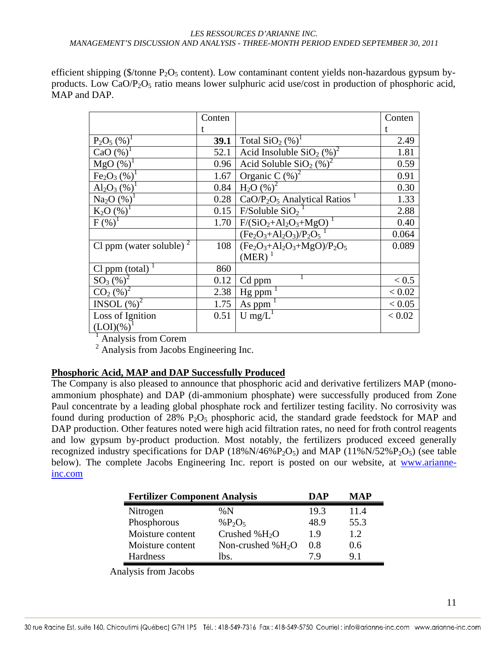efficient shipping (\$/tonne  $P_2O_5$  content). Low contaminant content yields non-hazardous gypsum byproducts. Low CaO/ $P_2O_5$  ratio means lower sulphuric acid use/cost in production of phosphoric acid, MAP and DAP.

|                                    | Conten      |                                      | Conten |
|------------------------------------|-------------|--------------------------------------|--------|
|                                    |             |                                      |        |
| $P_2O_5$ (%) <sup>1</sup>          | <b>39.1</b> | Total $SiO2(\%)1$                    | 2.49   |
| CaO $(\%)$                         | 52.1        | Acid Insoluble $SiO2(\%)^2$          | 1.81   |
| $MgO(%)^1$                         | 0.96        | Acid Soluble $SiO2$ (%) <sup>2</sup> | 0.59   |
| Fe <sub>2</sub> O <sub>3</sub> (%) | 1.67        | Organic C $(\%)^2$                   | 0.91   |
| $Al_2O_3$ (%)                      | 0.84        | $H_2O(%)^2$                          | 0.30   |
| $Na2O$ (%)                         | 0.28        | $CaO/P2O5$ Analytical Ratios         | 1.33   |
| $K_2O(%)^1$                        | 0.15        | F/Soluble SiO <sub>2</sub>           | 2.88   |
| $F(\%)^1$                          | 1.70        | $F/(SiO2+Al2O3+MgO)$                 | 0.40   |
|                                    |             | $(Fe2O3+Al2O3)/P2O5$                 | 0.064  |
| Cl ppm (water soluble) $2$         | 108         | $(Fe2O3+Al2O3+MgO)/P2O5$             | 0.089  |
|                                    |             | $(MER)^1$                            |        |
| $Cl$ ppm (total)                   | 860         |                                      |        |
| $SO_3(%)^2$                        | 0.12        | Cd ppm                               | < 0.5  |
| $CO2$ (%) <sup>2</sup>             | 2.38        | Hg ppm                               | < 0.02 |
| INSOL $(\%)^2$                     | 1.75        | As ppm                               | < 0.05 |
| Loss of Ignition                   | 0.51        | $U$ mg/ $L$                          | < 0.02 |
| $(LOI)(\%)$ <sup>1</sup>           |             |                                      |        |

 $\frac{1}{2}$  Analysis from Corem

<sup>2</sup> Analysis from Jacobs Engineering Inc.

#### **Phosphoric Acid, MAP and DAP Successfully Produced**

The Company is also pleased to announce that phosphoric acid and derivative fertilizers MAP (monoammonium phosphate) and DAP (di-ammonium phosphate) were successfully produced from Zone Paul concentrate by a leading global phosphate rock and fertilizer testing facility. No corrosivity was found during production of  $28\%$  P<sub>2</sub>O<sub>5</sub> phosphoric acid, the standard grade feedstock for MAP and DAP production. Other features noted were high acid filtration rates, no need for froth control reagents and low gypsum by-product production. Most notably, the fertilizers produced exceed generally recognized industry specifications for DAP (18%N/46% $P_2O_5$ ) and MAP (11%N/52% $P_2O_5$ ) (see table below). The complete Jacobs Engineering Inc. report is posted on our website, at www.arianneinc.com

| <b>Fertilizer Component Analysis</b> | DAP                | MAP  |      |
|--------------------------------------|--------------------|------|------|
| Nitrogen                             | $\% N$             | 19.3 | 11.4 |
| Phosphorous                          | $%P_2O_5$          | 48.9 | 55.3 |
| Moisture content                     | Crushed % $H_2O$   | 1.9  | 1.2  |
| Moisture content                     | Non-crushed $%H2O$ | 0.8  | 0.6  |
| Hardness                             | lbs.               | 7 Q  | 91   |

Analysis from Jacobs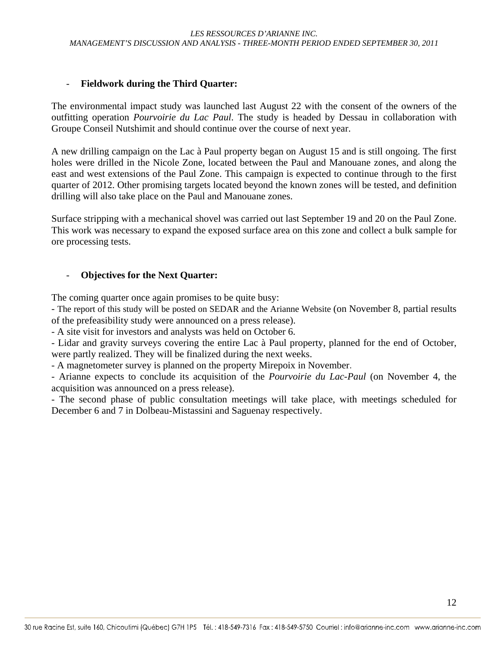# - **Fieldwork during the Third Quarter:**

The environmental impact study was launched last August 22 with the consent of the owners of the outfitting operation *Pourvoirie du Lac Paul*. The study is headed by Dessau in collaboration with Groupe Conseil Nutshimit and should continue over the course of next year.

A new drilling campaign on the Lac à Paul property began on August 15 and is still ongoing. The first holes were drilled in the Nicole Zone, located between the Paul and Manouane zones, and along the east and west extensions of the Paul Zone. This campaign is expected to continue through to the first quarter of 2012. Other promising targets located beyond the known zones will be tested, and definition drilling will also take place on the Paul and Manouane zones.

Surface stripping with a mechanical shovel was carried out last September 19 and 20 on the Paul Zone. This work was necessary to expand the exposed surface area on this zone and collect a bulk sample for ore processing tests.

### - **Objectives for the Next Quarter:**

The coming quarter once again promises to be quite busy:

- The report of this study will be posted on SEDAR and the Arianne Website (on November 8, partial results of the prefeasibility study were announced on a press release).

- A site visit for investors and analysts was held on October 6.

- Lidar and gravity surveys covering the entire Lac à Paul property, planned for the end of October, were partly realized. They will be finalized during the next weeks.

- A magnetometer survey is planned on the property Mirepoix in November.

- Arianne expects to conclude its acquisition of the *Pourvoirie du Lac-Paul* (on November 4, the acquisition was announced on a press release).

- The second phase of public consultation meetings will take place, with meetings scheduled for December 6 and 7 in Dolbeau-Mistassini and Saguenay respectively.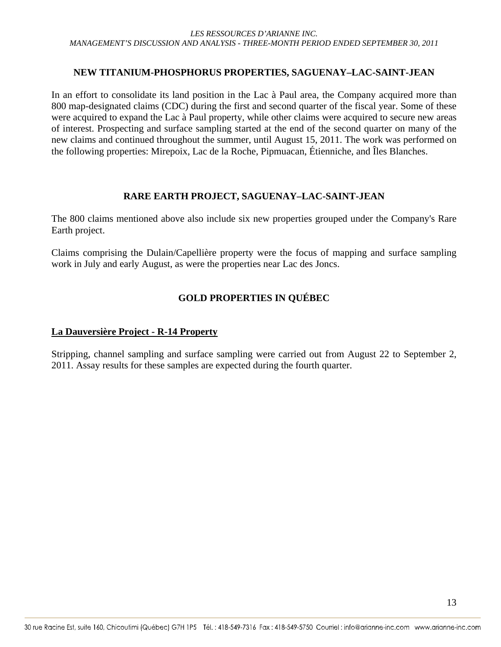#### **NEW TITANIUM-PHOSPHORUS PROPERTIES, SAGUENAY–LAC-SAINT-JEAN**

In an effort to consolidate its land position in the Lac à Paul area, the Company acquired more than 800 map-designated claims (CDC) during the first and second quarter of the fiscal year. Some of these were acquired to expand the Lac à Paul property, while other claims were acquired to secure new areas of interest. Prospecting and surface sampling started at the end of the second quarter on many of the new claims and continued throughout the summer, until August 15, 2011. The work was performed on the following properties: Mirepoix, Lac de la Roche, Pipmuacan, Étienniche, and Îles Blanches.

### **RARE EARTH PROJECT, SAGUENAY–LAC-SAINT-JEAN**

The 800 claims mentioned above also include six new properties grouped under the Company's Rare Earth project.

Claims comprising the Dulain/Capellière property were the focus of mapping and surface sampling work in July and early August, as were the properties near Lac des Joncs.

# **GOLD PROPERTIES IN QUÉBEC**

#### **La Dauversière Project - R-14 Property**

Stripping, channel sampling and surface sampling were carried out from August 22 to September 2, 2011. Assay results for these samples are expected during the fourth quarter.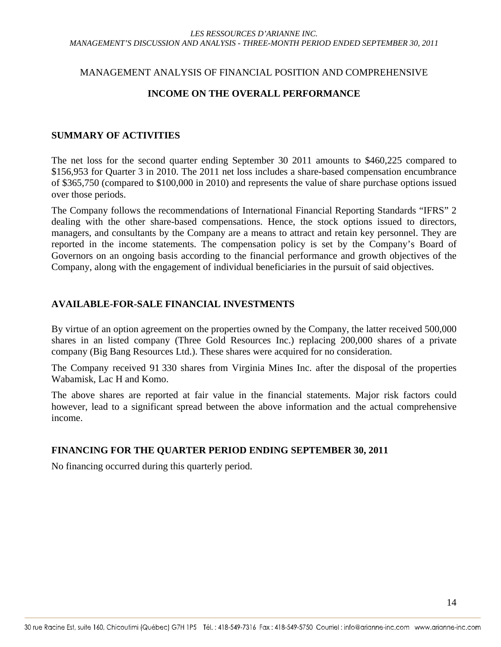#### MANAGEMENT ANALYSIS OF FINANCIAL POSITION AND COMPREHENSIVE

#### **INCOME ON THE OVERALL PERFORMANCE**

#### **SUMMARY OF ACTIVITIES**

The net loss for the second quarter ending September 30 2011 amounts to \$460,225 compared to \$156,953 for Quarter 3 in 2010. The 2011 net loss includes a share-based compensation encumbrance of \$365,750 (compared to \$100,000 in 2010) and represents the value of share purchase options issued over those periods.

The Company follows the recommendations of International Financial Reporting Standards "IFRS" 2 dealing with the other share-based compensations. Hence, the stock options issued to directors, managers, and consultants by the Company are a means to attract and retain key personnel. They are reported in the income statements. The compensation policy is set by the Company's Board of Governors on an ongoing basis according to the financial performance and growth objectives of the Company, along with the engagement of individual beneficiaries in the pursuit of said objectives.

#### **AVAILABLE-FOR-SALE FINANCIAL INVESTMENTS**

By virtue of an option agreement on the properties owned by the Company, the latter received 500,000 shares in an listed company (Three Gold Resources Inc.) replacing 200,000 shares of a private company (Big Bang Resources Ltd.). These shares were acquired for no consideration.

The Company received 91 330 shares from Virginia Mines Inc. after the disposal of the properties Wabamisk, Lac H and Komo.

The above shares are reported at fair value in the financial statements. Major risk factors could however, lead to a significant spread between the above information and the actual comprehensive income.

#### **FINANCING FOR THE QUARTER PERIOD ENDING SEPTEMBER 30, 2011**

No financing occurred during this quarterly period.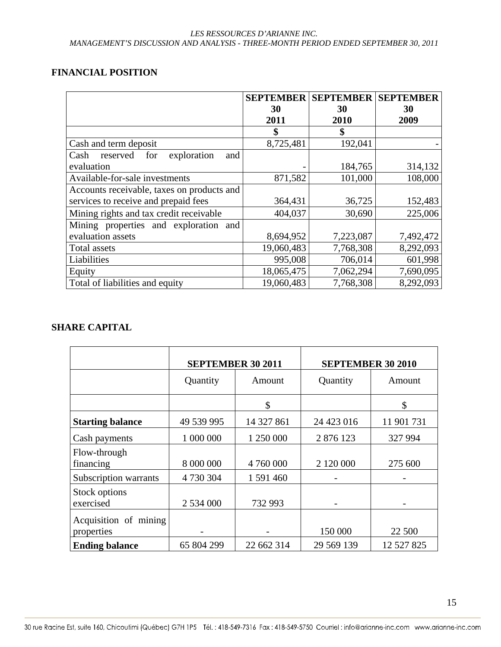### **FINANCIAL POSITION**

|                                               | <b>SEPTEMBER</b> | <b>SEPTEMBER</b> | <b>SEPTEMBER</b> |
|-----------------------------------------------|------------------|------------------|------------------|
|                                               | 30               | 30               | 30               |
|                                               | 2011             | 2010             | 2009             |
|                                               | \$               | \$               |                  |
| Cash and term deposit                         | 8,725,481        | 192,041          |                  |
| reserved<br>exploration<br>Cash<br>for<br>and |                  |                  |                  |
| evaluation                                    |                  | 184,765          | 314,132          |
| Available-for-sale investments                | 871,582          | 101,000          | 108,000          |
| Accounts receivable, taxes on products and    |                  |                  |                  |
| services to receive and prepaid fees          | 364,431          | 36,725           | 152,483          |
| Mining rights and tax credit receivable       | 404,037          | 30,690           | 225,006          |
| Mining properties and exploration and         |                  |                  |                  |
| evaluation assets                             | 8,694,952        | 7,223,087        | 7,492,472        |
| <b>Total assets</b>                           | 19,060,483       | 7,768,308        | 8,292,093        |
| Liabilities                                   | 995,008          | 706,014          | 601,998          |
| Equity                                        | 18,065,475       | 7,062,294        | 7,690,095        |
| Total of liabilities and equity               | 19,060,483       | 7,768,308        | 8,292,093        |

### **SHARE CAPITAL**

|                                     | <b>SEPTEMBER 30 2011</b> |            | <b>SEPTEMBER 30 2010</b> |            |  |
|-------------------------------------|--------------------------|------------|--------------------------|------------|--|
|                                     | Quantity<br>Amount       |            | Quantity                 | Amount     |  |
|                                     |                          | \$         |                          | \$         |  |
| <b>Starting balance</b>             | 49 539 995               | 14 327 861 | 24 423 016               | 11 901 731 |  |
| Cash payments                       | 1 000 000                | 1 250 000  | 2 876 123                | 327 994    |  |
| Flow-through<br>financing           | 8 000 000                | 4 760 000  | 2 120 000                | 275 600    |  |
| Subscription warrants               | 4 730 304                | 1 591 460  |                          |            |  |
| Stock options<br>exercised          | 2 534 000                | 732 993    |                          |            |  |
| Acquisition of mining<br>properties |                          |            | 150 000                  | 22 500     |  |
| <b>Ending balance</b>               | 65 804 299               | 22 662 314 | 29 569 139               | 12 527 825 |  |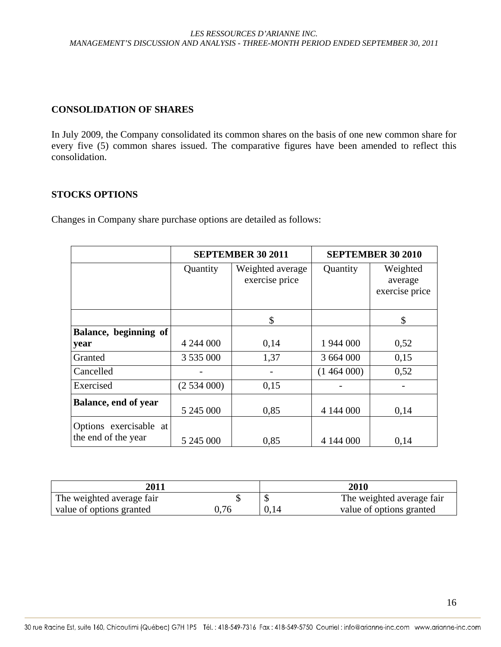# **CONSOLIDATION OF SHARES**

In July 2009, the Company consolidated its common shares on the basis of one new common share for every five (5) common shares issued. The comparative figures have been amended to reflect this consolidation.

#### **STOCKS OPTIONS**

Changes in Company share purchase options are detailed as follows:

|                                               |           | <b>SEPTEMBER 30 2011</b>           | <b>SEPTEMBER 30 2010</b> |                                       |  |
|-----------------------------------------------|-----------|------------------------------------|--------------------------|---------------------------------------|--|
|                                               | Quantity  | Weighted average<br>exercise price | Quantity                 | Weighted<br>average<br>exercise price |  |
|                                               |           | \$                                 |                          | \$                                    |  |
| Balance, beginning of                         |           |                                    |                          |                                       |  |
| year                                          | 4 244 000 | 0,14                               | 1 944 000                | 0,52                                  |  |
| Granted                                       | 3 535 000 | 1,37                               | 3 664 000                | 0,15                                  |  |
| Cancelled                                     |           |                                    | (1464000)                | 0,52                                  |  |
| Exercised                                     | (2534000) | 0,15                               |                          |                                       |  |
| <b>Balance, end of year</b>                   | 5 245 000 | 0,85                               | 4 144 000                | 0,14                                  |  |
| Options exercisable at<br>the end of the year | 5 245 000 | 0,85                               | 4 144 000                | 0,14                                  |  |

| <b>2011</b>               |      |      | 2010                      |
|---------------------------|------|------|---------------------------|
| The weighted average fair |      |      | The weighted average fair |
| value of options granted  | 0.76 | 0,14 | value of options granted  |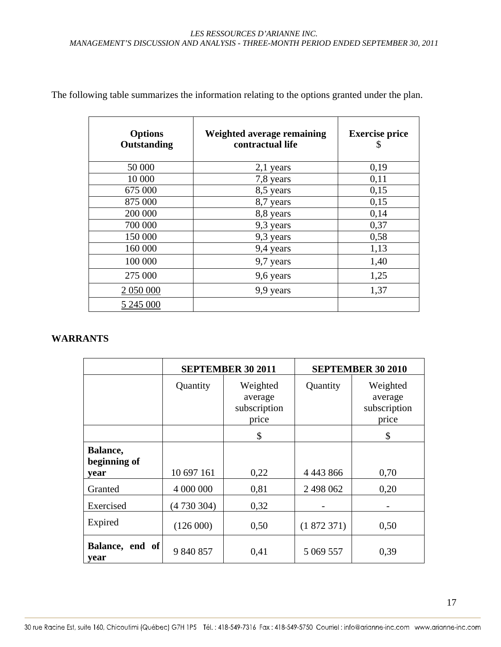| <b>Options</b><br>Outstanding | Weighted average remaining<br>contractual life | <b>Exercise price</b><br>Ъ |
|-------------------------------|------------------------------------------------|----------------------------|
| 50 000                        | $2,1$ years                                    | 0,19                       |
| 10 000                        | 7,8 years                                      | 0,11                       |
| 675 000                       | 8,5 years                                      | 0,15                       |
| 875 000                       | 8,7 years                                      | 0,15                       |
| 200 000                       | 8,8 years                                      | 0,14                       |
| 700 000                       | 9,3 years                                      | 0,37                       |
| 150 000                       | 9,3 years                                      | 0,58                       |
| 160 000                       | 9,4 years                                      | 1,13                       |
| 100 000                       | 9,7 years                                      | 1,40                       |
| 275 000                       | 9,6 years                                      | 1,25                       |
| 2 050 000                     | 9,9 years                                      | 1,37                       |
| 5 245 000                     |                                                |                            |

The following table summarizes the information relating to the options granted under the plan.

# **WARRANTS**

|                                  |            | <b>SEPTEMBER 30 2011</b>                     | <b>SEPTEMBER 30 2010</b> |                                              |  |
|----------------------------------|------------|----------------------------------------------|--------------------------|----------------------------------------------|--|
|                                  | Quantity   | Weighted<br>average<br>subscription<br>price | Quantity                 | Weighted<br>average<br>subscription<br>price |  |
|                                  |            | \$                                           |                          | \$                                           |  |
| Balance,<br>beginning of<br>vear | 10 697 161 | 0,22                                         | 4 4 4 3 8 6 6            | 0,70                                         |  |
| Granted                          | 4 000 000  | 0,81                                         | 2 498 062                | 0,20                                         |  |
| Exercised                        | (4730304)  | 0,32                                         |                          |                                              |  |
| Expired                          | (126000)   | 0,50                                         | (1872371)                | 0,50                                         |  |
| Balance, end of<br>year          | 9 840 857  | 0,41                                         | 5 069 557                | 0,39                                         |  |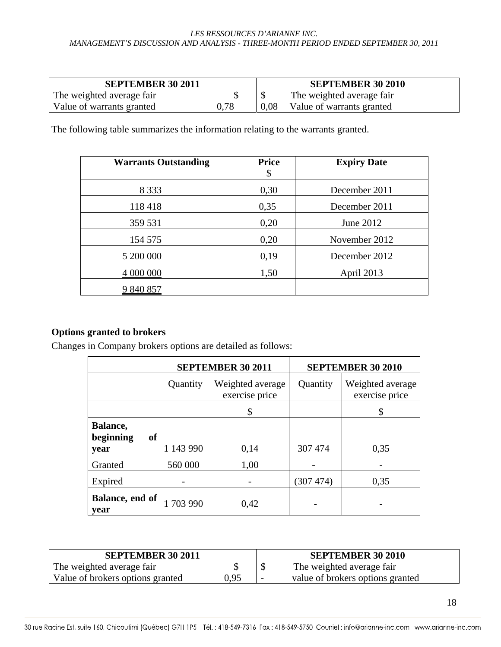| <b>SEPTEMBER 30 2011</b>  |      |      | <b>SEPTEMBER 30 2010</b>  |
|---------------------------|------|------|---------------------------|
| The weighted average fair |      |      | The weighted average fair |
| Value of warrants granted | 0.78 | 0.08 | Value of warrants granted |

The following table summarizes the information relating to the warrants granted.

| <b>Warrants Outstanding</b> | <b>Price</b><br>\$ | <b>Expiry Date</b> |
|-----------------------------|--------------------|--------------------|
| 8 3 3 3                     | 0,30               | December 2011      |
| 118 418                     | 0,35               | December 2011      |
| 359 531                     | 0,20               | June 2012          |
| 154 575                     | 0,20               | November 2012      |
| 5 200 000                   | 0,19               | December 2012      |
| 4 000 000                   | 1,50               | April 2013         |
| 9 840 857                   |                    |                    |

# **Options granted to brokers**

Changes in Company brokers options are detailed as follows:

|                                     |           | <b>SEPTEMBER 30 2011</b>           | <b>SEPTEMBER 30 2010</b> |                                    |  |
|-------------------------------------|-----------|------------------------------------|--------------------------|------------------------------------|--|
|                                     | Quantity  | Weighted average<br>exercise price | Quantity                 | Weighted average<br>exercise price |  |
|                                     |           | \$                                 |                          | \$                                 |  |
| Balance,<br>of<br>beginning<br>vear | 1 143 990 | 0,14                               | 307 474                  | 0,35                               |  |
| Granted                             | 560 000   | 1,00                               |                          |                                    |  |
| Expired                             |           |                                    | (307 474)                | 0,35                               |  |
| Balance, end of<br>year             | 1703990   | 0,42                               |                          |                                    |  |

| <b>SEPTEMBER 30 2011</b>         |      | <b>SEPTEMBER 30 2010</b>         |
|----------------------------------|------|----------------------------------|
| The weighted average fair        |      | The weighted average fair        |
| Value of brokers options granted | 0,95 | value of brokers options granted |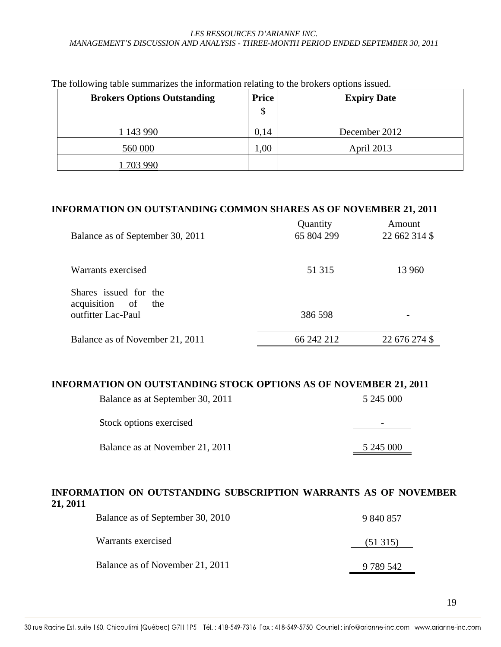| <b>Brokers Options Outstanding</b> | <b>Price</b><br>\$ | <b>Expiry Date</b> |
|------------------------------------|--------------------|--------------------|
| 1 143 990                          | 0,14               | December 2012      |
| 560 000                            | 1,00               | April 2013         |
| 703 990                            |                    |                    |

The following table summarizes the information relating to the brokers options issued.

#### **INFORMATION ON OUTSTANDING COMMON SHARES AS OF NOVEMBER 21, 2011**

| Balance as of September 30, 2011               | Quantity<br>65 804 299 | Amount<br>22 662 314 \$ |
|------------------------------------------------|------------------------|-------------------------|
| Warrants exercised                             | 51 315                 | 13 960                  |
| Shares issued for the<br>acquisition of<br>the |                        |                         |
| outfitter Lac-Paul                             | 386 598                |                         |
| Balance as of November 21, 2011                | 66 242 212             | 22 676 274 \$           |

#### **INFORMATION ON OUTSTANDING STOCK OPTIONS AS OF NOVEMBER 21, 2011**

| Balance as at September 30, 2011 | 5 245 000 |
|----------------------------------|-----------|
| Stock options exercised          |           |
| Balance as at November 21, 2011  | 5 245 000 |

#### **INFORMATION ON OUTSTANDING SUBSCRIPTION WARRANTS AS OF NOVEMBER 21, 2011**

| Balance as of September 30, 2010 | 9 840 857 |
|----------------------------------|-----------|
| Warrants exercised               | (51315)   |
| Balance as of November 21, 2011  | 9 789 542 |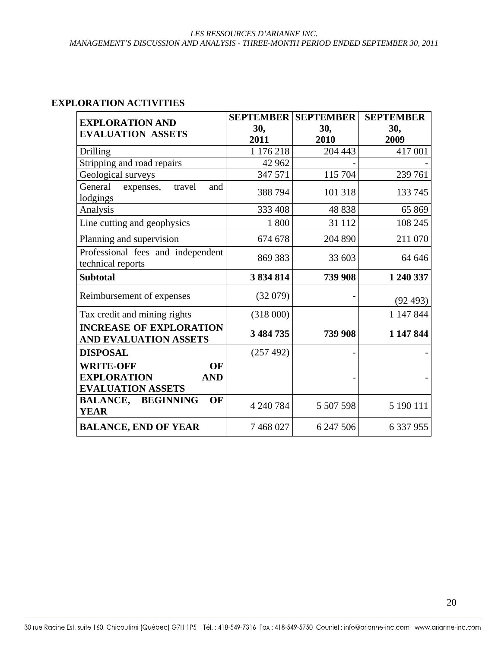# **EXPLORATION ACTIVITIES**

| <b>EXPLORATION AND</b>                                                                 | <b>SEPTEMBER</b> | <b>SEPTEMBER</b> | <b>SEPTEMBER</b> |
|----------------------------------------------------------------------------------------|------------------|------------------|------------------|
| <b>EVALUATION ASSETS</b>                                                               | 30,              | 30,              | 30,              |
|                                                                                        | 2011             | 2010             | 2009             |
| <b>Drilling</b>                                                                        | 1 176 218        | 204 443          | 417 001          |
| Stripping and road repairs                                                             | 42 962           |                  |                  |
| Geological surveys                                                                     | 347 571          | 115 704          | 239 761          |
| General<br>expenses,<br>travel<br>and<br>lodgings                                      | 388 794          | 101 318          | 133 745          |
| Analysis                                                                               | 333 408          | 48 838           | 65 869           |
| Line cutting and geophysics                                                            | 1 800            | 31 112           | 108 245          |
| Planning and supervision                                                               | 674 678          | 204 890          | 211 070          |
| Professional fees and independent<br>technical reports                                 | 869 383          | 33 603           | 64 646           |
| <b>Subtotal</b>                                                                        | 3 834 814        | 739 908          | 1 240 337        |
| Reimbursement of expenses                                                              | (32079)          |                  | (92493)          |
| Tax credit and mining rights                                                           | (318000)         |                  | 1 147 844        |
| <b>INCREASE OF EXPLORATION</b><br>AND EVALUATION ASSETS                                | 3 484 735        | 739 908          | 1 147 844        |
| <b>DISPOSAL</b>                                                                        | (257 492)        | $\overline{a}$   |                  |
| <b>WRITE-OFF</b><br>OF<br><b>EXPLORATION</b><br><b>AND</b><br><b>EVALUATION ASSETS</b> |                  |                  |                  |
| OF<br><b>BALANCE,</b><br><b>BEGINNING</b><br><b>YEAR</b>                               | 4 240 784        | 5 507 598        | 5 190 111        |
| <b>BALANCE, END OF YEAR</b>                                                            | 7468027          | 6 247 506        | 6 337 955        |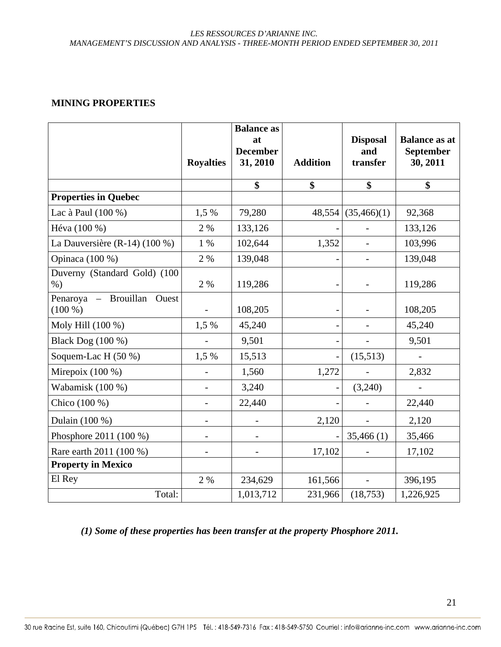### **MINING PROPERTIES**

|                                            | <b>Royalties</b>         | <b>Balance as</b><br>at<br><b>December</b><br>31, 2010 | <b>Addition</b>              | <b>Disposal</b><br>and<br>transfer | <b>Balance as at</b><br>September<br>30, 2011 |
|--------------------------------------------|--------------------------|--------------------------------------------------------|------------------------------|------------------------------------|-----------------------------------------------|
|                                            |                          | \$                                                     | \$                           | \$                                 | \$                                            |
| <b>Properties in Quebec</b>                |                          |                                                        |                              |                                    |                                               |
| Lac à Paul (100 %)                         | 1,5 %                    | 79,280                                                 | 48,554                       | (35,466)(1)                        | 92,368                                        |
| Héva (100 %)                               | 2 %                      | 133,126                                                |                              |                                    | 133,126                                       |
| La Dauversière (R-14) (100 %)              | 1 %                      | 102,644                                                | 1,352                        |                                    | 103,996                                       |
| Opinaca (100 %)                            | 2 %                      | 139,048                                                |                              | $\overline{\phantom{0}}$           | 139,048                                       |
| Duverny (Standard Gold) (100<br>$%$ )      | 2 %                      | 119,286                                                |                              |                                    | 119,286                                       |
| Penaroya - Brouillan<br>Ouest<br>$(100\%)$ | $\overline{\phantom{a}}$ | 108,205                                                | $\qquad \qquad -$            |                                    | 108,205                                       |
| Moly Hill (100 %)                          | 1,5 %                    | 45,240                                                 |                              |                                    | 45,240                                        |
| Black Dog (100 %)                          |                          | 9,501                                                  | $\qquad \qquad \blacksquare$ |                                    | 9,501                                         |
| Soquem-Lac H $(50\%)$                      | 1,5 %                    | 15,513                                                 | $\qquad \qquad \blacksquare$ | (15,513)                           | $\overline{a}$                                |
| Mirepoix $(100\%)$                         | $\overline{\phantom{a}}$ | 1,560                                                  | 1,272                        |                                    | 2,832                                         |
| Wabamisk (100 %)                           | $\overline{\phantom{0}}$ | 3,240                                                  | $\qquad \qquad -$            | (3,240)                            | $\frac{1}{2}$                                 |
| Chico (100 %)                              | $\overline{\phantom{0}}$ | 22,440                                                 |                              |                                    | 22,440                                        |
| Dulain (100 %)                             | $\overline{\phantom{a}}$ |                                                        | 2,120                        |                                    | 2,120                                         |
| Phosphore 2011 (100 %)                     | $\qquad \qquad -$        |                                                        |                              | 35,466(1)                          | 35,466                                        |
| Rare earth 2011 (100 %)                    | $\overline{a}$           |                                                        | 17,102                       |                                    | 17,102                                        |
| <b>Property in Mexico</b>                  |                          |                                                        |                              |                                    |                                               |
| El Rey                                     | 2 %                      | 234,629                                                | 161,566                      | $\blacksquare$                     | 396,195                                       |
| Total:                                     |                          | 1,013,712                                              | 231,966                      | (18, 753)                          | 1,226,925                                     |

*(1) Some of these properties has been transfer at the property Phosphore 2011.*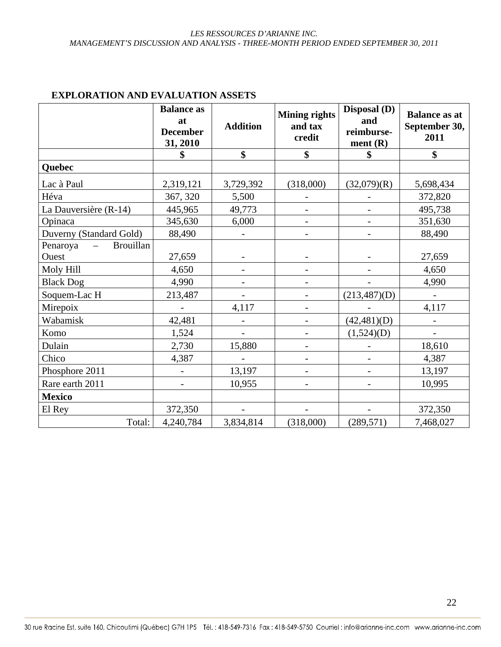|                              | <b>Balance as</b><br>at<br><b>December</b><br>31, 2010 | <b>Addition</b>          | <b>Mining rights</b><br>and tax<br>credit | Disposal (D)<br>and<br>reimburse-<br>ment(R) | <b>Balance as at</b><br>September 30,<br>2011 |
|------------------------------|--------------------------------------------------------|--------------------------|-------------------------------------------|----------------------------------------------|-----------------------------------------------|
|                              | \$                                                     | \$                       | \$                                        | \$                                           | \$                                            |
| Quebec                       |                                                        |                          |                                           |                                              |                                               |
| Lac à Paul                   | 2,319,121                                              | 3,729,392                | (318,000)                                 | (32,079)(R)                                  | 5,698,434                                     |
| Héva                         | 367, 320                                               | 5,500                    | $\qquad \qquad -$                         |                                              | 372,820                                       |
| La Dauversière (R-14)        | 445,965                                                | 49,773                   |                                           |                                              | 495,738                                       |
| Opinaca                      | 345,630                                                | 6,000                    | $\qquad \qquad -$                         | $\overline{\phantom{0}}$                     | 351,630                                       |
| Duverny (Standard Gold)      | 88,490                                                 |                          | $\overline{\phantom{a}}$                  | $\overline{\phantom{a}}$                     | 88,490                                        |
| <b>Brouillan</b><br>Penaroya |                                                        |                          |                                           |                                              |                                               |
| Ouest                        | 27,659                                                 |                          |                                           |                                              | 27,659                                        |
| Moly Hill                    | 4,650                                                  | $\overline{\phantom{0}}$ | $\overline{\phantom{a}}$                  |                                              | 4,650                                         |
| <b>Black Dog</b>             | 4,990                                                  |                          | $\overline{\phantom{a}}$                  |                                              | 4,990                                         |
| Soquem-Lac H                 | 213,487                                                | $\overline{\phantom{0}}$ | $\overline{\phantom{a}}$                  | (213,487)(D)                                 | $\overline{\phantom{a}}$                      |
| Mirepoix                     |                                                        | 4,117                    | $\overline{\phantom{a}}$                  |                                              | 4,117                                         |
| Wabamisk                     | 42,481                                                 |                          |                                           | (42, 481)(D)                                 |                                               |
| Komo                         | 1,524                                                  |                          |                                           | (1,524)(D)                                   |                                               |
| Dulain                       | 2,730                                                  | 15,880                   | $\qquad \qquad -$                         |                                              | 18,610                                        |
| Chico                        | 4,387                                                  |                          | -                                         |                                              | 4,387                                         |
| Phosphore 2011               |                                                        | 13,197                   | $\overline{\phantom{a}}$                  |                                              | 13,197                                        |
| Rare earth 2011              |                                                        | 10,955                   | $\overline{\phantom{a}}$                  |                                              | 10,995                                        |
| <b>Mexico</b>                |                                                        |                          |                                           |                                              |                                               |
| El Rey                       | 372,350                                                |                          |                                           |                                              | 372,350                                       |
| Total:                       | 4,240,784                                              | 3,834,814                | (318,000)                                 | (289, 571)                                   | 7,468,027                                     |

#### **EXPLORATION AND EVALUATION ASSETS**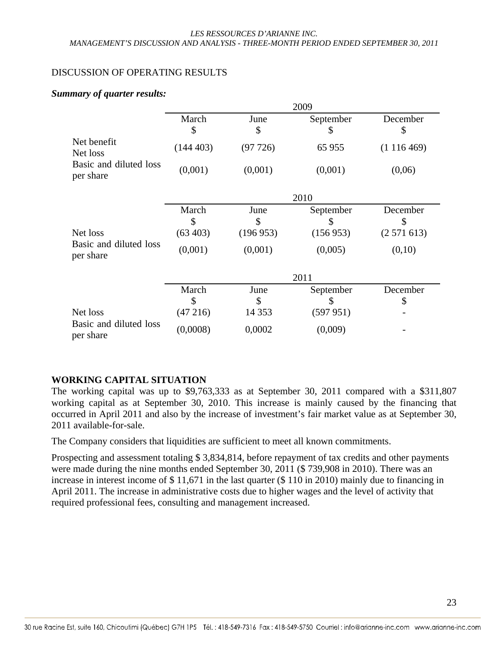### DISCUSSION OF OPERATING RESULTS

#### *Summary of quarter results:*

|                                     | 2009                     |                        |                             |                             |  |
|-------------------------------------|--------------------------|------------------------|-----------------------------|-----------------------------|--|
|                                     | March<br>\$              | June<br>\$             | September<br>S              | December<br>\$              |  |
| Net benefit<br>Net loss             | (144403)                 | (97726)                | 65 955                      | (1116469)                   |  |
| Basic and diluted loss<br>per share | (0,001)                  | (0,001)                | (0,001)                     | (0,06)                      |  |
|                                     | 2010                     |                        |                             |                             |  |
| Net loss                            | March<br>\$<br>(63, 403) | June<br>\$<br>(196953) | September<br>\$<br>(156953) | December<br>\$<br>(2571613) |  |
| Basic and diluted loss<br>per share | (0,001)                  | (0,001)                | (0,005)                     | (0,10)                      |  |
|                                     | 2011                     |                        |                             |                             |  |
|                                     | March<br>\$              | June<br>\$             | September<br>\$             | December<br>\$              |  |
| Net loss                            | (47216)                  | 14 3 5 3               | (597951)                    |                             |  |
| Basic and diluted loss<br>per share | (0,0008)                 | 0,0002                 | (0,009)                     |                             |  |

# **WORKING CAPITAL SITUATION**

The working capital was up to \$9,763,333 as at September 30, 2011 compared with a \$311,807 working capital as at September 30, 2010. This increase is mainly caused by the financing that occurred in April 2011 and also by the increase of investment's fair market value as at September 30, 2011 available-for-sale.

The Company considers that liquidities are sufficient to meet all known commitments.

Prospecting and assessment totaling \$ 3,834,814, before repayment of tax credits and other payments were made during the nine months ended September 30, 2011 (\$ 739,908 in 2010). There was an increase in interest income of \$ 11,671 in the last quarter (\$ 110 in 2010) mainly due to financing in April 2011. The increase in administrative costs due to higher wages and the level of activity that required professional fees, consulting and management increased.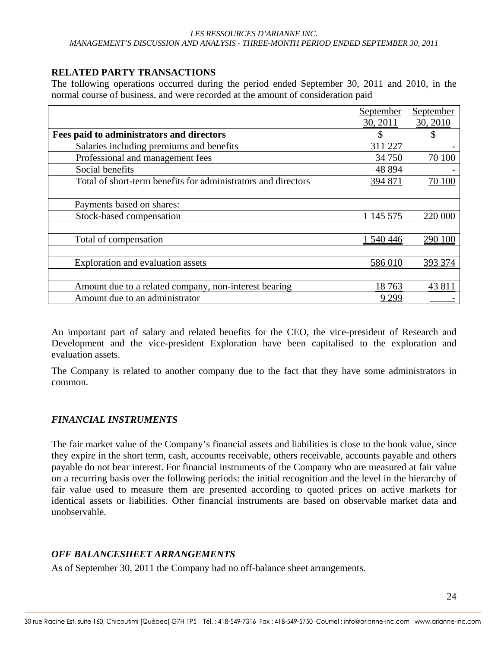# **RELATED PARTY TRANSACTIONS**

The following operations occurred during the period ended September 30, 2011 and 2010, in the normal course of business, and were recorded at the amount of consideration paid

|                                                               | September | September |
|---------------------------------------------------------------|-----------|-----------|
|                                                               | 30, 2011  | 30, 2010  |
| Fees paid to administrators and directors                     |           |           |
| Salaries including premiums and benefits                      | 311 227   |           |
| Professional and management fees                              | 34 750    | 70 100    |
| Social benefits                                               | 48 8 94   |           |
| Total of short-term benefits for administrators and directors | 394 871   | 70 100    |
|                                                               |           |           |
| Payments based on shares:                                     |           |           |
| Stock-based compensation                                      | 1 145 575 | 220 000   |
|                                                               |           |           |
| Total of compensation                                         | 1 540 446 | 290 100   |
|                                                               |           |           |
| Exploration and evaluation assets                             | 586 010   | 393 374   |
|                                                               |           |           |
| Amount due to a related company, non-interest bearing         | 18763     | 43811     |
| Amount due to an administrator                                | 9 2 9 9   |           |

An important part of salary and related benefits for the CEO, the vice-president of Research and Development and the vice-president Exploration have been capitalised to the exploration and evaluation assets.

The Company is related to another company due to the fact that they have some administrators in common.

#### *FINANCIAL INSTRUMENTS*

The fair market value of the Company's financial assets and liabilities is close to the book value, since they expire in the short term, cash, accounts receivable, others receivable, accounts payable and others payable do not bear interest. For financial instruments of the Company who are measured at fair value on a recurring basis over the following periods: the initial recognition and the level in the hierarchy of fair value used to measure them are presented according to quoted prices on active markets for identical assets or liabilities. Other financial instruments are based on observable market data and unobservable.

# *OFF BALANCESHEET ARRANGEMENTS*

As of September 30, 2011 the Company had no off-balance sheet arrangements.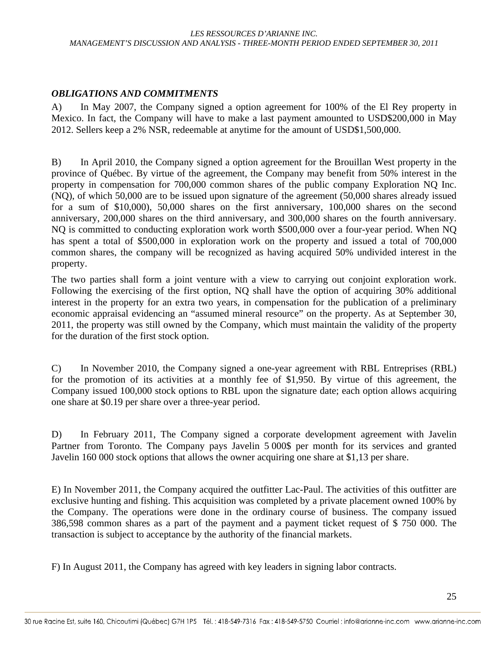# *OBLIGATIONS AND COMMITMENTS*

A) In May 2007, the Company signed a option agreement for 100% of the El Rey property in Mexico. In fact, the Company will have to make a last payment amounted to USD\$200,000 in May 2012. Sellers keep a 2% NSR, redeemable at anytime for the amount of USD\$1,500,000.

B) In April 2010, the Company signed a option agreement for the Brouillan West property in the province of Québec. By virtue of the agreement, the Company may benefit from 50% interest in the property in compensation for 700,000 common shares of the public company Exploration NQ Inc. (NQ), of which 50,000 are to be issued upon signature of the agreement (50,000 shares already issued for a sum of \$10,000), 50,000 shares on the first anniversary, 100,000 shares on the second anniversary, 200,000 shares on the third anniversary, and 300,000 shares on the fourth anniversary. NQ is committed to conducting exploration work worth \$500,000 over a four-year period. When NQ has spent a total of \$500,000 in exploration work on the property and issued a total of 700,000 common shares, the company will be recognized as having acquired 50% undivided interest in the property.

The two parties shall form a joint venture with a view to carrying out conjoint exploration work. Following the exercising of the first option, NQ shall have the option of acquiring 30% additional interest in the property for an extra two years, in compensation for the publication of a preliminary economic appraisal evidencing an "assumed mineral resource" on the property. As at September 30, 2011, the property was still owned by the Company, which must maintain the validity of the property for the duration of the first stock option.

C) In November 2010, the Company signed a one-year agreement with RBL Entreprises (RBL) for the promotion of its activities at a monthly fee of \$1,950. By virtue of this agreement, the Company issued 100,000 stock options to RBL upon the signature date; each option allows acquiring one share at \$0.19 per share over a three-year period.

D) In February 2011, The Company signed a corporate development agreement with Javelin Partner from Toronto. The Company pays Javelin 5 000\$ per month for its services and granted Javelin 160 000 stock options that allows the owner acquiring one share at \$1,13 per share.

E) In November 2011, the Company acquired the outfitter Lac-Paul. The activities of this outfitter are exclusive hunting and fishing. This acquisition was completed by a private placement owned 100% by the Company. The operations were done in the ordinary course of business. The company issued 386,598 common shares as a part of the payment and a payment ticket request of \$ 750 000. The transaction is subject to acceptance by the authority of the financial markets.

F) In August 2011, the Company has agreed with key leaders in signing labor contracts.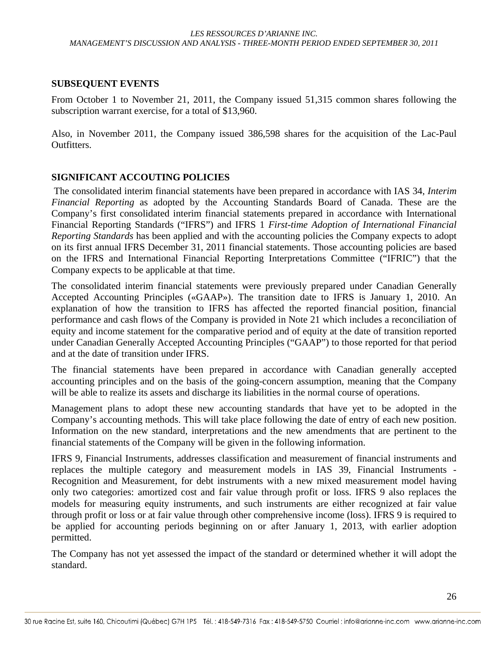#### **SUBSEQUENT EVENTS**

From October 1 to November 21, 2011, the Company issued 51,315 common shares following the subscription warrant exercise, for a total of \$13,960.

Also, in November 2011, the Company issued 386,598 shares for the acquisition of the Lac-Paul Outfitters.

#### **SIGNIFICANT ACCOUTING POLICIES**

 The consolidated interim financial statements have been prepared in accordance with IAS 34, *Interim Financial Reporting* as adopted by the Accounting Standards Board of Canada. These are the Company's first consolidated interim financial statements prepared in accordance with International Financial Reporting Standards ("IFRS") and IFRS 1 *First-time Adoption of International Financial Reporting Standards* has been applied and with the accounting policies the Company expects to adopt on its first annual IFRS December 31, 2011 financial statements. Those accounting policies are based on the IFRS and International Financial Reporting Interpretations Committee ("IFRIC") that the Company expects to be applicable at that time.

The consolidated interim financial statements were previously prepared under Canadian Generally Accepted Accounting Principles («GAAP»). The transition date to IFRS is January 1, 2010. An explanation of how the transition to IFRS has affected the reported financial position, financial performance and cash flows of the Company is provided in Note 21 which includes a reconciliation of equity and income statement for the comparative period and of equity at the date of transition reported under Canadian Generally Accepted Accounting Principles ("GAAP") to those reported for that period and at the date of transition under IFRS.

The financial statements have been prepared in accordance with Canadian generally accepted accounting principles and on the basis of the going-concern assumption, meaning that the Company will be able to realize its assets and discharge its liabilities in the normal course of operations.

Management plans to adopt these new accounting standards that have yet to be adopted in the Company's accounting methods. This will take place following the date of entry of each new position. Information on the new standard, interpretations and the new amendments that are pertinent to the financial statements of the Company will be given in the following information.

IFRS 9, Financial Instruments, addresses classification and measurement of financial instruments and replaces the multiple category and measurement models in IAS 39, Financial Instruments - Recognition and Measurement, for debt instruments with a new mixed measurement model having only two categories: amortized cost and fair value through profit or loss. IFRS 9 also replaces the models for measuring equity instruments, and such instruments are either recognized at fair value through profit or loss or at fair value through other comprehensive income (loss). IFRS 9 is required to be applied for accounting periods beginning on or after January 1, 2013, with earlier adoption permitted.

The Company has not yet assessed the impact of the standard or determined whether it will adopt the standard.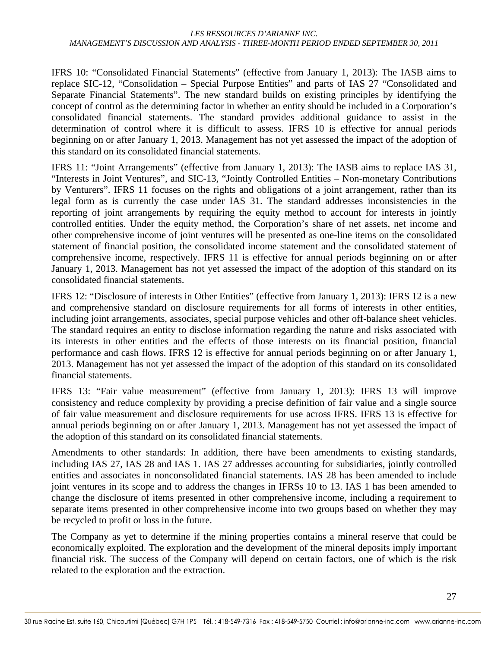IFRS 10: "Consolidated Financial Statements" (effective from January 1, 2013): The IASB aims to replace SIC-12, "Consolidation – Special Purpose Entities" and parts of IAS 27 "Consolidated and Separate Financial Statements". The new standard builds on existing principles by identifying the concept of control as the determining factor in whether an entity should be included in a Corporation's consolidated financial statements. The standard provides additional guidance to assist in the determination of control where it is difficult to assess. IFRS 10 is effective for annual periods beginning on or after January 1, 2013. Management has not yet assessed the impact of the adoption of this standard on its consolidated financial statements.

IFRS 11: "Joint Arrangements" (effective from January 1, 2013): The IASB aims to replace IAS 31, "Interests in Joint Ventures", and SIC-13, "Jointly Controlled Entities – Non-monetary Contributions by Venturers". IFRS 11 focuses on the rights and obligations of a joint arrangement, rather than its legal form as is currently the case under IAS 31. The standard addresses inconsistencies in the reporting of joint arrangements by requiring the equity method to account for interests in jointly controlled entities. Under the equity method, the Corporation's share of net assets, net income and other comprehensive income of joint ventures will be presented as one-line items on the consolidated statement of financial position, the consolidated income statement and the consolidated statement of comprehensive income, respectively. IFRS 11 is effective for annual periods beginning on or after January 1, 2013. Management has not yet assessed the impact of the adoption of this standard on its consolidated financial statements.

IFRS 12: "Disclosure of interests in Other Entities" (effective from January 1, 2013): IFRS 12 is a new and comprehensive standard on disclosure requirements for all forms of interests in other entities, including joint arrangements, associates, special purpose vehicles and other off-balance sheet vehicles. The standard requires an entity to disclose information regarding the nature and risks associated with its interests in other entities and the effects of those interests on its financial position, financial performance and cash flows. IFRS 12 is effective for annual periods beginning on or after January 1, 2013. Management has not yet assessed the impact of the adoption of this standard on its consolidated financial statements.

IFRS 13: "Fair value measurement" (effective from January 1, 2013): IFRS 13 will improve consistency and reduce complexity by providing a precise definition of fair value and a single source of fair value measurement and disclosure requirements for use across IFRS. IFRS 13 is effective for annual periods beginning on or after January 1, 2013. Management has not yet assessed the impact of the adoption of this standard on its consolidated financial statements.

Amendments to other standards: In addition, there have been amendments to existing standards, including IAS 27, IAS 28 and IAS 1. IAS 27 addresses accounting for subsidiaries, jointly controlled entities and associates in nonconsolidated financial statements. IAS 28 has been amended to include joint ventures in its scope and to address the changes in IFRSs 10 to 13. IAS 1 has been amended to change the disclosure of items presented in other comprehensive income, including a requirement to separate items presented in other comprehensive income into two groups based on whether they may be recycled to profit or loss in the future.

The Company as yet to determine if the mining properties contains a mineral reserve that could be economically exploited. The exploration and the development of the mineral deposits imply important financial risk. The success of the Company will depend on certain factors, one of which is the risk related to the exploration and the extraction.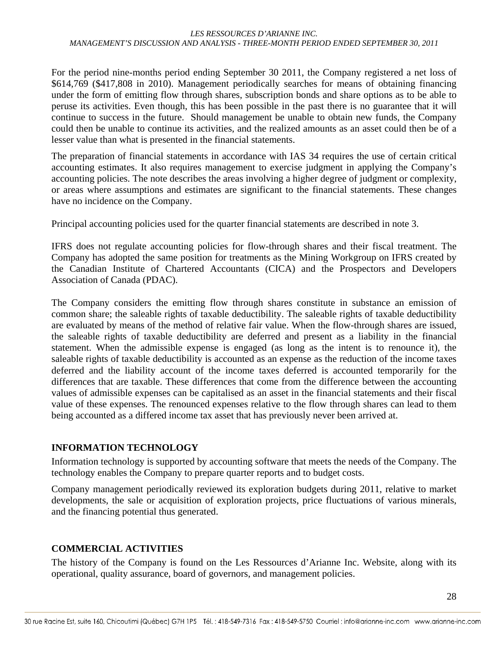For the period nine-months period ending September 30 2011, the Company registered a net loss of \$614,769 (\$417,808 in 2010). Management periodically searches for means of obtaining financing under the form of emitting flow through shares, subscription bonds and share options as to be able to peruse its activities. Even though, this has been possible in the past there is no guarantee that it will continue to success in the future. Should management be unable to obtain new funds, the Company could then be unable to continue its activities, and the realized amounts as an asset could then be of a lesser value than what is presented in the financial statements.

The preparation of financial statements in accordance with IAS 34 requires the use of certain critical accounting estimates. It also requires management to exercise judgment in applying the Company's accounting policies. The note describes the areas involving a higher degree of judgment or complexity, or areas where assumptions and estimates are significant to the financial statements. These changes have no incidence on the Company.

Principal accounting policies used for the quarter financial statements are described in note 3.

IFRS does not regulate accounting policies for flow-through shares and their fiscal treatment. The Company has adopted the same position for treatments as the Mining Workgroup on IFRS created by the Canadian Institute of Chartered Accountants (CICA) and the Prospectors and Developers Association of Canada (PDAC).

The Company considers the emitting flow through shares constitute in substance an emission of common share; the saleable rights of taxable deductibility. The saleable rights of taxable deductibility are evaluated by means of the method of relative fair value. When the flow-through shares are issued, the saleable rights of taxable deductibility are deferred and present as a liability in the financial statement. When the admissible expense is engaged (as long as the intent is to renounce it), the saleable rights of taxable deductibility is accounted as an expense as the reduction of the income taxes deferred and the liability account of the income taxes deferred is accounted temporarily for the differences that are taxable. These differences that come from the difference between the accounting values of admissible expenses can be capitalised as an asset in the financial statements and their fiscal value of these expenses. The renounced expenses relative to the flow through shares can lead to them being accounted as a differed income tax asset that has previously never been arrived at.

# **INFORMATION TECHNOLOGY**

Information technology is supported by accounting software that meets the needs of the Company. The technology enables the Company to prepare quarter reports and to budget costs.

Company management periodically reviewed its exploration budgets during 2011, relative to market developments, the sale or acquisition of exploration projects, price fluctuations of various minerals, and the financing potential thus generated.

# **COMMERCIAL ACTIVITIES**

The history of the Company is found on the Les Ressources d'Arianne Inc. Website, along with its operational, quality assurance, board of governors, and management policies.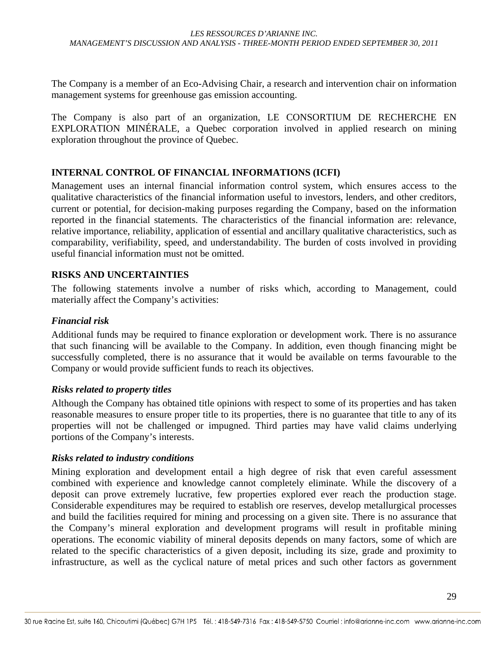The Company is a member of an Eco-Advising Chair, a research and intervention chair on information management systems for greenhouse gas emission accounting.

The Company is also part of an organization, LE CONSORTIUM DE RECHERCHE EN EXPLORATION MINÉRALE, a Quebec corporation involved in applied research on mining exploration throughout the province of Quebec.

### **INTERNAL CONTROL OF FINANCIAL INFORMATIONS (ICFI)**

Management uses an internal financial information control system, which ensures access to the qualitative characteristics of the financial information useful to investors, lenders, and other creditors, current or potential, for decision-making purposes regarding the Company, based on the information reported in the financial statements. The characteristics of the financial information are: relevance, relative importance, reliability, application of essential and ancillary qualitative characteristics, such as comparability, verifiability, speed, and understandability. The burden of costs involved in providing useful financial information must not be omitted.

#### **RISKS AND UNCERTAINTIES**

The following statements involve a number of risks which, according to Management, could materially affect the Company's activities:

#### *Financial risk*

Additional funds may be required to finance exploration or development work. There is no assurance that such financing will be available to the Company. In addition, even though financing might be successfully completed, there is no assurance that it would be available on terms favourable to the Company or would provide sufficient funds to reach its objectives.

#### *Risks related to property titles*

Although the Company has obtained title opinions with respect to some of its properties and has taken reasonable measures to ensure proper title to its properties, there is no guarantee that title to any of its properties will not be challenged or impugned. Third parties may have valid claims underlying portions of the Company's interests.

#### *Risks related to industry conditions*

Mining exploration and development entail a high degree of risk that even careful assessment combined with experience and knowledge cannot completely eliminate. While the discovery of a deposit can prove extremely lucrative, few properties explored ever reach the production stage. Considerable expenditures may be required to establish ore reserves, develop metallurgical processes and build the facilities required for mining and processing on a given site. There is no assurance that the Company's mineral exploration and development programs will result in profitable mining operations. The economic viability of mineral deposits depends on many factors, some of which are related to the specific characteristics of a given deposit, including its size, grade and proximity to infrastructure, as well as the cyclical nature of metal prices and such other factors as government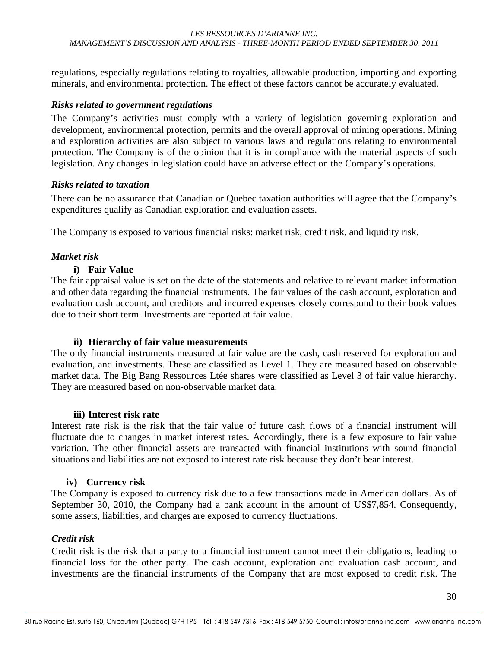regulations, especially regulations relating to royalties, allowable production, importing and exporting minerals, and environmental protection. The effect of these factors cannot be accurately evaluated.

# *Risks related to government regulations*

The Company's activities must comply with a variety of legislation governing exploration and development, environmental protection, permits and the overall approval of mining operations. Mining and exploration activities are also subject to various laws and regulations relating to environmental protection. The Company is of the opinion that it is in compliance with the material aspects of such legislation. Any changes in legislation could have an adverse effect on the Company's operations.

### *Risks related to taxation*

There can be no assurance that Canadian or Quebec taxation authorities will agree that the Company's expenditures qualify as Canadian exploration and evaluation assets.

The Company is exposed to various financial risks: market risk, credit risk, and liquidity risk.

### *Market risk*

### **i) Fair Value**

The fair appraisal value is set on the date of the statements and relative to relevant market information and other data regarding the financial instruments. The fair values of the cash account, exploration and evaluation cash account, and creditors and incurred expenses closely correspond to their book values due to their short term. Investments are reported at fair value.

#### **ii) Hierarchy of fair value measurements**

The only financial instruments measured at fair value are the cash, cash reserved for exploration and evaluation, and investments. These are classified as Level 1. They are measured based on observable market data. The Big Bang Ressources Ltée shares were classified as Level 3 of fair value hierarchy. They are measured based on non-observable market data.

#### **iii) Interest risk rate**

Interest rate risk is the risk that the fair value of future cash flows of a financial instrument will fluctuate due to changes in market interest rates. Accordingly, there is a few exposure to fair value variation. The other financial assets are transacted with financial institutions with sound financial situations and liabilities are not exposed to interest rate risk because they don't bear interest.

#### **iv) Currency risk**

The Company is exposed to currency risk due to a few transactions made in American dollars. As of September 30, 2010, the Company had a bank account in the amount of US\$7,854. Consequently, some assets, liabilities, and charges are exposed to currency fluctuations.

#### *Credit risk*

Credit risk is the risk that a party to a financial instrument cannot meet their obligations, leading to financial loss for the other party. The cash account, exploration and evaluation cash account, and investments are the financial instruments of the Company that are most exposed to credit risk. The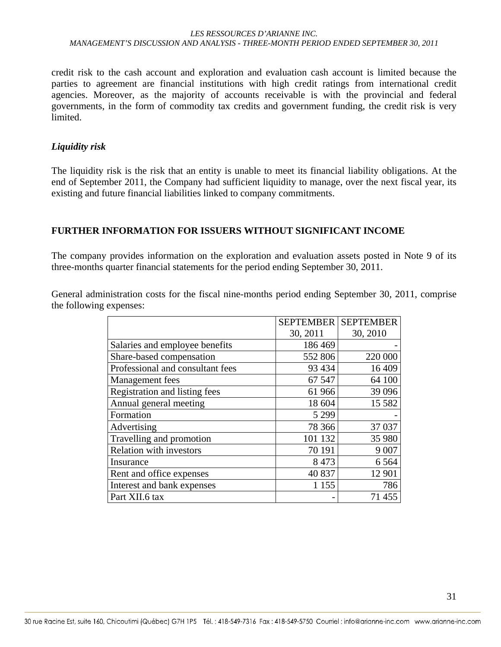credit risk to the cash account and exploration and evaluation cash account is limited because the parties to agreement are financial institutions with high credit ratings from international credit agencies. Moreover, as the majority of accounts receivable is with the provincial and federal governments, in the form of commodity tax credits and government funding, the credit risk is very limited.

#### *Liquidity risk*

The liquidity risk is the risk that an entity is unable to meet its financial liability obligations. At the end of September 2011, the Company had sufficient liquidity to manage, over the next fiscal year, its existing and future financial liabilities linked to company commitments.

### **FURTHER INFORMATION FOR ISSUERS WITHOUT SIGNIFICANT INCOME**

The company provides information on the exploration and evaluation assets posted in Note 9 of its three-months quarter financial statements for the period ending September 30, 2011.

General administration costs for the fiscal nine-months period ending September 30, 2011, comprise the following expenses:

|                                  | <b>SEPTEMBER</b> | <b>SEPTEMBER</b> |
|----------------------------------|------------------|------------------|
|                                  | 30, 2011         | 30, 2010         |
| Salaries and employee benefits   | 186 469          |                  |
| Share-based compensation         | 552 806          | 220 000          |
| Professional and consultant fees | 93 4 34          | 16 409           |
| Management fees                  | 67 547           | 64 100           |
| Registration and listing fees    | 61 966           | 39 0 96          |
| Annual general meeting           | 18 604           | 15 5 8 2         |
| Formation                        | 5 2 9 9          |                  |
| Advertising                      | 78 36 6          | 37 037           |
| Travelling and promotion         | 101 132          | 35 980           |
| <b>Relation with investors</b>   | 70 191           | 9 0 0 7          |
| Insurance                        | 8 4 7 3          | 6 5 6 4          |
| Rent and office expenses         | 40 837           | 12 901           |
| Interest and bank expenses       | 1 1 5 5          | 786              |
| Part XII.6 tax                   |                  | 71 455           |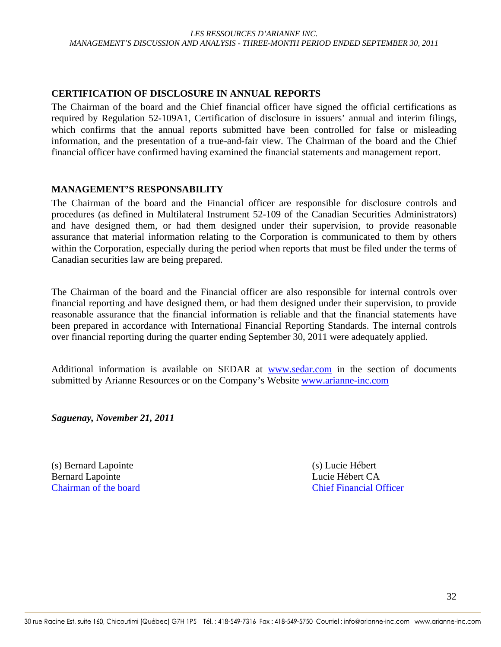#### **CERTIFICATION OF DISCLOSURE IN ANNUAL REPORTS**

The Chairman of the board and the Chief financial officer have signed the official certifications as required by Regulation 52-109A1, Certification of disclosure in issuers' annual and interim filings, which confirms that the annual reports submitted have been controlled for false or misleading information, and the presentation of a true-and-fair view. The Chairman of the board and the Chief financial officer have confirmed having examined the financial statements and management report.

#### **MANAGEMENT'S RESPONSABILITY**

The Chairman of the board and the Financial officer are responsible for disclosure controls and procedures (as defined in Multilateral Instrument 52-109 of the Canadian Securities Administrators) and have designed them, or had them designed under their supervision, to provide reasonable assurance that material information relating to the Corporation is communicated to them by others within the Corporation, especially during the period when reports that must be filed under the terms of Canadian securities law are being prepared.

The Chairman of the board and the Financial officer are also responsible for internal controls over financial reporting and have designed them, or had them designed under their supervision, to provide reasonable assurance that the financial information is reliable and that the financial statements have been prepared in accordance with International Financial Reporting Standards. The internal controls over financial reporting during the quarter ending September 30, 2011 were adequately applied.

Additional information is available on SEDAR at www.sedar.com in the section of documents submitted by Arianne Resources or on the Company's Website www.arianne-inc.com

*Saguenay, November 21, 2011* 

(s) Bernard Lapointe (s) Lucie Hébert Bernard Lapointe Lucie Hébert CA

Chairman of the board Chief Financial Officer